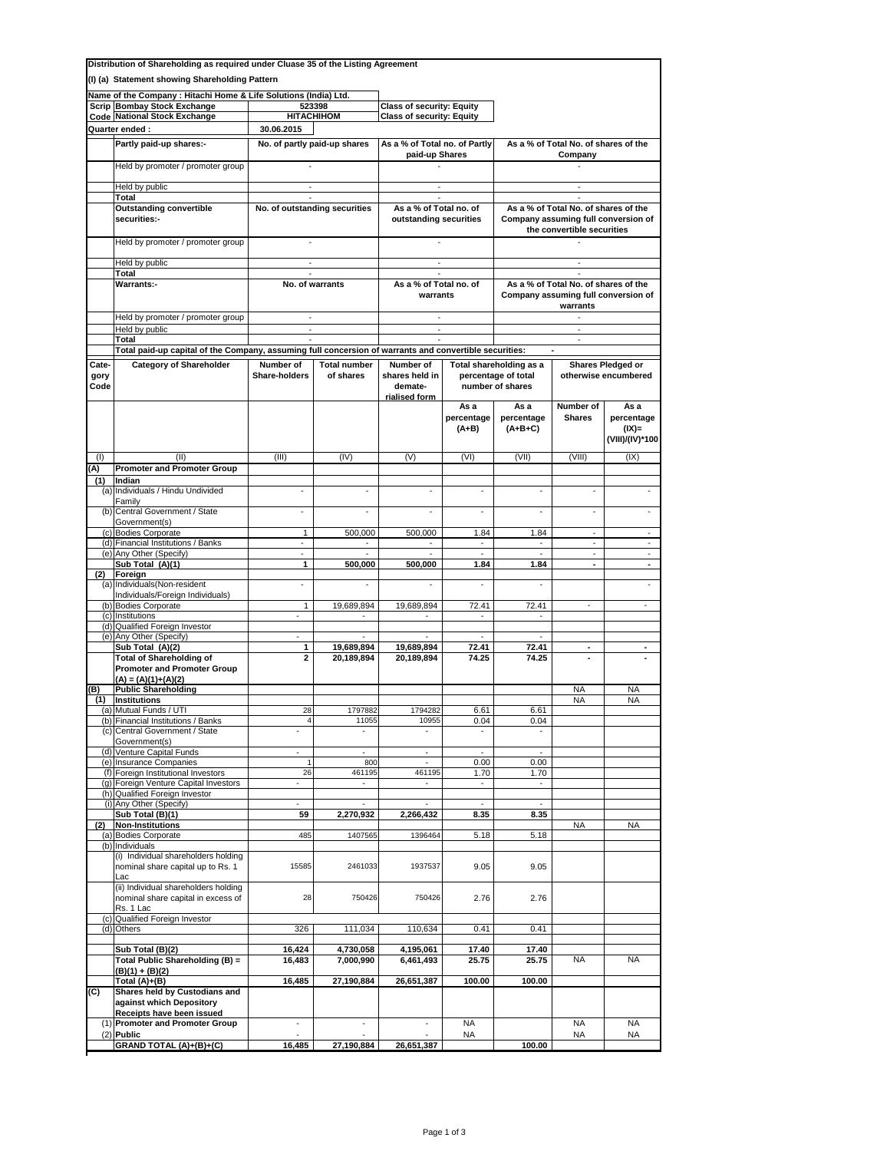|                                                                                                       | Distribution of Shareholding as required under Cluase 35 of the Listing Agreement                                                        |                                           |                          |                                                 |                               |                                                                                         |                                                  |                                                   |  |
|-------------------------------------------------------------------------------------------------------|------------------------------------------------------------------------------------------------------------------------------------------|-------------------------------------------|--------------------------|-------------------------------------------------|-------------------------------|-----------------------------------------------------------------------------------------|--------------------------------------------------|---------------------------------------------------|--|
|                                                                                                       | (I) (a) Statement showing Shareholding Pattern                                                                                           |                                           |                          |                                                 |                               |                                                                                         |                                                  |                                                   |  |
| Name of the Company: Hitachi Home & Life Solutions (India) Ltd.<br><b>Scrip Bombay Stock Exchange</b> |                                                                                                                                          |                                           | 523398                   | <b>Class of security: Equity</b>                |                               |                                                                                         |                                                  |                                                   |  |
| <b>Code National Stock Exchange</b>                                                                   |                                                                                                                                          | <b>HITACHIHOM</b>                         |                          | <b>Class of security: Equity</b>                |                               |                                                                                         |                                                  |                                                   |  |
|                                                                                                       | Quarter ended:                                                                                                                           | 30.06.2015                                |                          |                                                 |                               |                                                                                         |                                                  |                                                   |  |
|                                                                                                       | Partly paid-up shares:-                                                                                                                  | No. of partly paid-up shares              |                          | As a % of Total no. of Partly<br>paid-up Shares |                               | As a % of Total No. of shares of the<br>Company                                         |                                                  |                                                   |  |
|                                                                                                       | Held by promoter / promoter group                                                                                                        |                                           |                          |                                                 |                               |                                                                                         |                                                  |                                                   |  |
|                                                                                                       | Held by public                                                                                                                           |                                           |                          |                                                 |                               |                                                                                         |                                                  |                                                   |  |
|                                                                                                       | Total<br><b>Outstanding convertible</b>                                                                                                  | $\omega$<br>No. of outstanding securities |                          | ÷.<br>As a % of Total no. of                    |                               | $\sim$<br>As a % of Total No. of shares of the                                          |                                                  |                                                   |  |
|                                                                                                       | securities:-                                                                                                                             |                                           |                          | outstanding securities                          |                               | Company assuming full conversion of<br>the convertible securities                       |                                                  |                                                   |  |
|                                                                                                       | Held by promoter / promoter group                                                                                                        |                                           |                          |                                                 |                               |                                                                                         |                                                  |                                                   |  |
|                                                                                                       | Held by public<br>Total                                                                                                                  | $\sim$                                    |                          | $\sim$                                          |                               | $\sim$                                                                                  |                                                  |                                                   |  |
|                                                                                                       | Warrants:-                                                                                                                               | No. of warrants                           |                          | As a % of Total no. of<br>warrants              |                               | As a % of Total No. of shares of the<br>Company assuming full conversion of<br>warrants |                                                  |                                                   |  |
|                                                                                                       | Held by promoter / promoter group                                                                                                        |                                           |                          |                                                 |                               | $\blacksquare$                                                                          |                                                  |                                                   |  |
|                                                                                                       | Held by public                                                                                                                           |                                           |                          |                                                 |                               |                                                                                         |                                                  |                                                   |  |
|                                                                                                       | Total                                                                                                                                    |                                           |                          |                                                 |                               |                                                                                         | $\sim$                                           |                                                   |  |
| Cate-                                                                                                 | Total paid-up capital of the Company, assuming full concersion of warrants and convertible securities:<br><b>Category of Shareholder</b> | Number of                                 | <b>Total number</b>      | Number of                                       |                               | Total shareholding as a                                                                 |                                                  |                                                   |  |
| gory<br>Code                                                                                          |                                                                                                                                          | <b>Share-holders</b>                      | of shares                | shares held in<br>demate-<br>rialised form      |                               | percentage of total<br>number of shares                                                 | <b>Shares Pledged or</b><br>otherwise encumbered |                                                   |  |
|                                                                                                       |                                                                                                                                          |                                           |                          |                                                 | As a<br>percentage<br>$(A+B)$ | As a<br>percentage<br>$(A+B+C)$                                                         | Number of<br><b>Shares</b>                       | As a<br>percentage<br>$(IX)$ =<br>(VIII)/(IV)*100 |  |
| (1)                                                                                                   | (II)                                                                                                                                     | (III)                                     | (IV)                     | (V)                                             | (VI)                          | (VII)                                                                                   | (VIII)                                           | (IX)                                              |  |
| (A)                                                                                                   | <b>Promoter and Promoter Group</b>                                                                                                       |                                           |                          |                                                 |                               |                                                                                         |                                                  |                                                   |  |
| (1)                                                                                                   | Indian<br>(a) Individuals / Hindu Undivided<br>Family                                                                                    | ä,                                        |                          |                                                 |                               | $\blacksquare$                                                                          | ÷,                                               |                                                   |  |
|                                                                                                       | (b) Central Government / State<br>Government(s)                                                                                          | $\blacksquare$                            | $\sim$                   |                                                 | ä,                            | ä,                                                                                      | ÷,                                               |                                                   |  |
|                                                                                                       | (c) Bodies Corporate                                                                                                                     | 1                                         | 500,000                  | 500,000                                         | 1.84                          | 1.84                                                                                    | $\overline{\phantom{a}}$                         | ٠                                                 |  |
|                                                                                                       | (d) Financial Institutions / Banks<br>(e) Any Other (Specify)                                                                            | $\overline{a}$                            |                          |                                                 | $\sim$                        |                                                                                         | ÷.<br>$\frac{1}{2}$                              | ÷.<br>$\blacksquare$                              |  |
|                                                                                                       | Sub Total (A)(1)                                                                                                                         | 1                                         | 500,000                  | 500,000                                         | 1.84                          | 1.84                                                                                    | $\blacksquare$                                   | $\blacksquare$                                    |  |
| (2)                                                                                                   | Foreign<br>(a) Individuals (Non-resident                                                                                                 | $\overline{\phantom{a}}$                  |                          |                                                 |                               |                                                                                         |                                                  |                                                   |  |
|                                                                                                       | Individuals/Foreign Individuals)                                                                                                         |                                           |                          |                                                 |                               |                                                                                         |                                                  |                                                   |  |
|                                                                                                       | (b) Bodies Corporate<br>(c) Institutions                                                                                                 | 1<br>$\blacksquare$                       | 19,689,894<br>$\sim$     | 19,689,894<br>$\sim$                            | 72.41<br>$\sim$               | 72.41<br>$\sim$                                                                         | $\overline{\phantom{a}}$                         |                                                   |  |
|                                                                                                       | (d) Qualified Foreign Investor                                                                                                           |                                           |                          |                                                 |                               |                                                                                         |                                                  |                                                   |  |
|                                                                                                       | (e) Any Other (Specify)                                                                                                                  | ÷.                                        |                          |                                                 |                               |                                                                                         |                                                  |                                                   |  |
|                                                                                                       | Sub Total (A)(2)<br><b>Total of Shareholding of</b><br><b>Promoter and Promoter Group</b>                                                | 1<br>2                                    | 19,689,894<br>20,189,894 | 19,689,894<br>20,189,894                        | 72.41<br>74.25                | 72.41<br>74.25                                                                          | $\overline{\phantom{a}}$                         |                                                   |  |
|                                                                                                       | $(A) = (A)(1)+(A)(2)$                                                                                                                    |                                           |                          |                                                 |                               |                                                                                         |                                                  |                                                   |  |
| B)<br>(1)                                                                                             | <b>Public Shareholding</b><br><b>Institutions</b>                                                                                        |                                           |                          |                                                 |                               |                                                                                         | NA<br><b>NA</b>                                  | NA<br>NA                                          |  |
|                                                                                                       | (a) Mutual Funds / UTI                                                                                                                   | 28                                        | 1797882                  | 1794282                                         | 6.61                          | 6.61                                                                                    |                                                  |                                                   |  |
|                                                                                                       | (b) Financial Institutions / Banks                                                                                                       | $\overline{4}$                            | 11055                    | 10955                                           | 0.04                          | 0.04                                                                                    |                                                  |                                                   |  |
|                                                                                                       | (c) Central Government / State<br>Government(s)                                                                                          |                                           |                          |                                                 |                               |                                                                                         |                                                  |                                                   |  |
|                                                                                                       | (d) Venture Capital Funds                                                                                                                | ÷,                                        | ÷,                       | ä,                                              | $\omega$                      | $\omega$                                                                                |                                                  |                                                   |  |
|                                                                                                       | (e) Insurance Companies<br>(f) Foreign Institutional Investors                                                                           | 1<br>26                                   | 800<br>461195            | $\blacksquare$<br>461195                        | 0.00<br>1.70                  | 0.00<br>1.70                                                                            |                                                  |                                                   |  |
|                                                                                                       | (g) Foreign Venture Capital Investors                                                                                                    |                                           |                          |                                                 | $\overline{\phantom{a}}$      |                                                                                         |                                                  |                                                   |  |
|                                                                                                       | (h) Qualified Foreign Investor                                                                                                           |                                           |                          |                                                 |                               |                                                                                         |                                                  |                                                   |  |
|                                                                                                       | (i) Any Other (Specify)<br>Sub Total (B)(1)                                                                                              | 59                                        | $\sim$<br>2,270,932      | ä,<br>2,266,432                                 | $\sim$<br>8.35                | $\mathbf{r}$<br>8.35                                                                    |                                                  |                                                   |  |
| (2)                                                                                                   | <b>Non-Institutions</b>                                                                                                                  |                                           |                          |                                                 |                               |                                                                                         | <b>NA</b>                                        | <b>NA</b>                                         |  |
|                                                                                                       | (a) Bodies Corporate<br>(b) Individuals                                                                                                  | 485                                       | 1407565                  | 1396464                                         | 5.18                          | 5.18                                                                                    |                                                  |                                                   |  |
|                                                                                                       | (i) Individual shareholders holding<br>nominal share capital up to Rs. 1<br>Lac                                                          | 15585                                     | 2461033                  | 1937537                                         | 9.05                          | 9.05                                                                                    |                                                  |                                                   |  |
|                                                                                                       | (ii) Individual shareholders holding<br>nominal share capital in excess of<br>Rs. 1 Lac                                                  | 28                                        | 750426                   | 750426                                          | 2.76                          | 2.76                                                                                    |                                                  |                                                   |  |
|                                                                                                       | (c) Qualified Foreign Investor<br>(d) Others                                                                                             | 326                                       | 111,034                  | 110,634                                         | 0.41                          | 0.41                                                                                    |                                                  |                                                   |  |
|                                                                                                       |                                                                                                                                          |                                           |                          |                                                 |                               |                                                                                         |                                                  |                                                   |  |
|                                                                                                       | $\overline{\text{Sub Total}}$ (B)(2)<br>Total Public Shareholding (B) =<br>$(B)(1) + (B)(2)$                                             | 16,424<br>16,483                          | 4,730,058<br>7,000,990   | 4,195,061<br>6,461,493                          | 17.40<br>25.75                | 17.40<br>25.75                                                                          | NA                                               | <b>NA</b>                                         |  |
|                                                                                                       | Total $(A)+(B)$                                                                                                                          | 16,485                                    | 27,190,884               | 26,651,387                                      | 100.00                        | 100.00                                                                                  |                                                  |                                                   |  |
| (C)                                                                                                   | Shares held by Custodians and<br>against which Depository<br>Receipts have been issued                                                   |                                           |                          |                                                 |                               |                                                                                         |                                                  |                                                   |  |
|                                                                                                       | (1) Promoter and Promoter Group                                                                                                          | ä,                                        | ٠                        |                                                 | <b>NA</b>                     |                                                                                         | <b>NA</b>                                        | <b>NA</b>                                         |  |
|                                                                                                       | $(2)$ Public<br>GRAND TOTAL (A)+(B)+(C)                                                                                                  | 16,485                                    | 27,190,884               | 26,651,387                                      | NA                            | 100.00                                                                                  | NA                                               | NA                                                |  |
|                                                                                                       |                                                                                                                                          |                                           |                          |                                                 |                               |                                                                                         |                                                  |                                                   |  |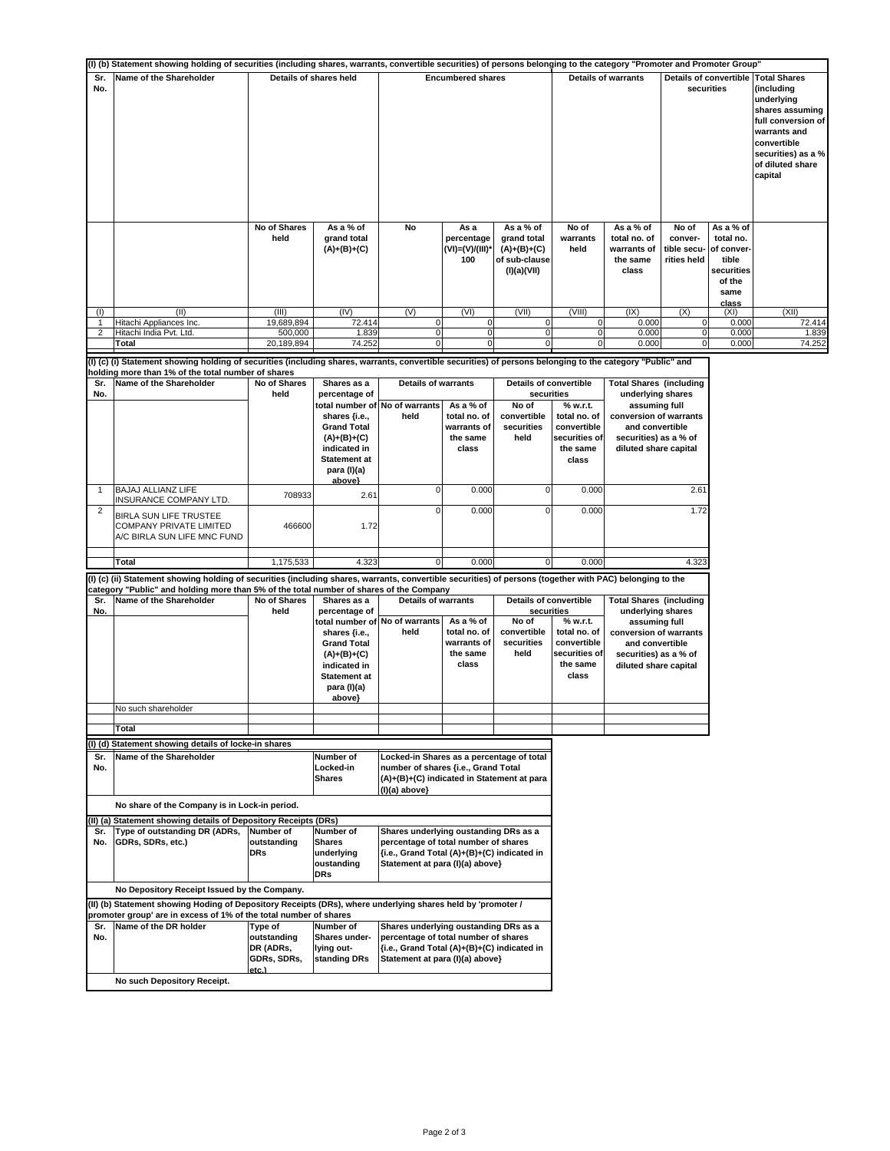|              | (I) (b) Statement showing holding of securities (including shares, warrants, convertible securities) of persons belonging to the category "Promoter and Promoter Group"                                                                              |                                                  |                                                                                                            |                                                                                                                                                                 |                                                               |                                                                                           |                                                                               |                                                                                                                                                                     |                                                |                                                                                       |                                                                                                                                                                              |  |  |  |  |
|--------------|------------------------------------------------------------------------------------------------------------------------------------------------------------------------------------------------------------------------------------------------------|--------------------------------------------------|------------------------------------------------------------------------------------------------------------|-----------------------------------------------------------------------------------------------------------------------------------------------------------------|---------------------------------------------------------------|-------------------------------------------------------------------------------------------|-------------------------------------------------------------------------------|---------------------------------------------------------------------------------------------------------------------------------------------------------------------|------------------------------------------------|---------------------------------------------------------------------------------------|------------------------------------------------------------------------------------------------------------------------------------------------------------------------------|--|--|--|--|
| Sr.<br>No.   | Name of the Shareholder                                                                                                                                                                                                                              | Details of shares held                           |                                                                                                            |                                                                                                                                                                 | <b>Encumbered shares</b>                                      |                                                                                           | <b>Details of warrants</b>                                                    |                                                                                                                                                                     | <b>Details of convertible</b><br>securities    |                                                                                       | <b>Total Shares</b><br>(including<br>underlying<br>shares assuming<br>full conversion of<br>warrants and<br>convertible<br>securities) as a %<br>of diluted share<br>capital |  |  |  |  |
|              |                                                                                                                                                                                                                                                      | No of Shares<br>held                             | As a % of<br>grand total<br>(A)+(B)+(C)                                                                    | No                                                                                                                                                              | As a<br>percentage<br>(VI)=(V)/(III)*<br>100                  | As a % of<br>grand total<br>$(A)+(B)+(C)$<br>of sub-clause<br>(I)(a)(VII)                 | No of<br>warrants<br>held                                                     | As a % of<br>total no. of<br>warrants of<br>the same<br>class                                                                                                       | No of<br>conver-<br>tible secu-<br>rities held | As a % of<br>total no.<br>of conver<br>tible<br>securities<br>of the<br>same<br>class |                                                                                                                                                                              |  |  |  |  |
| (1)          | (II)                                                                                                                                                                                                                                                 | (III)                                            | (IV)                                                                                                       | (V)                                                                                                                                                             | (VI)                                                          | (VII)                                                                                     | (VIII)                                                                        | (IX)                                                                                                                                                                | (X)                                            | (XI)                                                                                  | (XII)                                                                                                                                                                        |  |  |  |  |
| 1            | Hitachi Appliances Inc.                                                                                                                                                                                                                              | 19,689,894                                       | 72.414                                                                                                     | 0                                                                                                                                                               | 0                                                             | $\mathbf 0$                                                                               | 0                                                                             | 0.000                                                                                                                                                               | 0                                              | 0.000                                                                                 | 72.414                                                                                                                                                                       |  |  |  |  |
| 2            | Hitachi India Pvt. Ltd.<br>Total                                                                                                                                                                                                                     | 500,000<br>20,189,894                            | 1.839<br>74.252                                                                                            | 0                                                                                                                                                               | 0                                                             | 0                                                                                         | 0<br>0                                                                        | 0.000<br>0.000                                                                                                                                                      | 0<br>0                                         | 0.000<br>0.000                                                                        | 1.839<br>74.252                                                                                                                                                              |  |  |  |  |
|              | (I) (c) (i) Statement showing holding of securities (including shares, warrants, convertible securities) of persons belonging to the category "Public" and                                                                                           |                                                  |                                                                                                            |                                                                                                                                                                 |                                                               |                                                                                           |                                                                               |                                                                                                                                                                     |                                                |                                                                                       |                                                                                                                                                                              |  |  |  |  |
|              | holding more than 1% of the total number of shares                                                                                                                                                                                                   |                                                  |                                                                                                            |                                                                                                                                                                 |                                                               |                                                                                           |                                                                               |                                                                                                                                                                     |                                                |                                                                                       |                                                                                                                                                                              |  |  |  |  |
| Sr.          | Name of the Shareholder                                                                                                                                                                                                                              | No of Shares                                     | Shares as a                                                                                                | <b>Details of warrants</b>                                                                                                                                      |                                                               | <b>Details of convertible</b>                                                             |                                                                               | <b>Total Shares (including</b>                                                                                                                                      |                                                |                                                                                       |                                                                                                                                                                              |  |  |  |  |
| No.          |                                                                                                                                                                                                                                                      | held                                             | percentage of                                                                                              | total number of No of warrants                                                                                                                                  |                                                               | securities                                                                                |                                                                               |                                                                                                                                                                     | underlying shares                              |                                                                                       |                                                                                                                                                                              |  |  |  |  |
|              |                                                                                                                                                                                                                                                      |                                                  | shares {i.e.,<br><b>Grand Total</b><br>$(A)+(B)+(C)$<br>indicated in<br><b>Statement at</b><br>para (I)(a) | held                                                                                                                                                            | As a % of<br>total no. of<br>warrants of<br>the same<br>class | No of<br>convertible<br>securities<br>held                                                | % w.r.t.<br>total no. of<br>convertible<br>securities of<br>the same<br>class | assuming full<br>conversion of warrants<br>and convertible<br>securities) as a % of<br>diluted share capital                                                        |                                                |                                                                                       |                                                                                                                                                                              |  |  |  |  |
| $\mathbf{1}$ | BAJAJ ALLIANZ LIFE<br>INSURANCE COMPANY LTD.                                                                                                                                                                                                         | 708933                                           | above}<br>2.61                                                                                             | 0                                                                                                                                                               | 0.000                                                         | $\Omega$                                                                                  | 0.000                                                                         |                                                                                                                                                                     | 2.61                                           |                                                                                       |                                                                                                                                                                              |  |  |  |  |
| 2            | BIRLA SUN LIFE TRUSTEE<br>COMPANY PRIVATE LIMITED<br>A/C BIRLA SUN LIFE MNC FUND                                                                                                                                                                     | 466600                                           | 1.72                                                                                                       | $\Omega$                                                                                                                                                        | 0.000                                                         | U                                                                                         | 0.000                                                                         |                                                                                                                                                                     | 1.72                                           |                                                                                       |                                                                                                                                                                              |  |  |  |  |
|              |                                                                                                                                                                                                                                                      |                                                  | 4.323                                                                                                      | $\overline{0}$                                                                                                                                                  | 0.000                                                         | $\mathbf 0$                                                                               | 0.000                                                                         |                                                                                                                                                                     | 4.323                                          |                                                                                       |                                                                                                                                                                              |  |  |  |  |
|              | Total                                                                                                                                                                                                                                                | 1,175,533                                        |                                                                                                            |                                                                                                                                                                 |                                                               |                                                                                           |                                                                               |                                                                                                                                                                     |                                                |                                                                                       |                                                                                                                                                                              |  |  |  |  |
|              | (I) (c) (ii) Statement showing holding of securities (including shares, warrants, convertible securities) of persons (together with PAC) belonging to the<br>category "Public" and holding more than 5% of the total number of shares of the Company |                                                  |                                                                                                            |                                                                                                                                                                 |                                                               |                                                                                           |                                                                               |                                                                                                                                                                     |                                                |                                                                                       |                                                                                                                                                                              |  |  |  |  |
| Sr.<br>No.   | Name of the Shareholder                                                                                                                                                                                                                              | No of Shares<br>held                             | Shares as a<br>percentage of<br>shares {i.e.,<br><b>Grand Total</b><br>$(A)+(B)+(C)$<br>indicated in       | <b>Details of warrants</b><br>total number of No of warrants<br>held                                                                                            | As a % of<br>total no. of<br>warrants of<br>the same<br>class | <b>Details of convertible</b><br>securities<br>No of<br>convertible<br>securities<br>held | % w.r.t.<br>total no. of<br>convertible<br>securities of<br>the same          | <b>Total Shares (including</b><br>underlying shares<br>assuming full<br>conversion of warrants<br>and convertible<br>securities) as a % of<br>diluted share capital |                                                |                                                                                       |                                                                                                                                                                              |  |  |  |  |
|              |                                                                                                                                                                                                                                                      |                                                  | <b>Statement at</b><br>para (I)(a)<br>above}                                                               |                                                                                                                                                                 |                                                               |                                                                                           | class                                                                         |                                                                                                                                                                     |                                                |                                                                                       |                                                                                                                                                                              |  |  |  |  |
|              | No such shareholder                                                                                                                                                                                                                                  |                                                  |                                                                                                            |                                                                                                                                                                 |                                                               |                                                                                           |                                                                               |                                                                                                                                                                     |                                                |                                                                                       |                                                                                                                                                                              |  |  |  |  |
|              | Total                                                                                                                                                                                                                                                |                                                  |                                                                                                            |                                                                                                                                                                 |                                                               |                                                                                           |                                                                               |                                                                                                                                                                     |                                                |                                                                                       |                                                                                                                                                                              |  |  |  |  |
|              | (I) (d) Statement showing details of locke-in shares                                                                                                                                                                                                 |                                                  |                                                                                                            |                                                                                                                                                                 |                                                               |                                                                                           |                                                                               |                                                                                                                                                                     |                                                |                                                                                       |                                                                                                                                                                              |  |  |  |  |
| Sr.<br>No.   | Name of the Shareholder                                                                                                                                                                                                                              |                                                  | Number of<br>Locked-in<br><b>Shares</b>                                                                    | Locked-in Shares as a percentage of total<br>number of shares {i.e., Grand Total<br>(A)+(B)+(C) indicated in Statement at para<br>(I)(a) above}                 |                                                               |                                                                                           |                                                                               |                                                                                                                                                                     |                                                |                                                                                       |                                                                                                                                                                              |  |  |  |  |
|              | No share of the Company is in Lock-in period.                                                                                                                                                                                                        |                                                  |                                                                                                            |                                                                                                                                                                 |                                                               |                                                                                           |                                                                               |                                                                                                                                                                     |                                                |                                                                                       |                                                                                                                                                                              |  |  |  |  |
|              | (II) (a) Statement showing details of Depository Receipts (DRs)                                                                                                                                                                                      |                                                  |                                                                                                            |                                                                                                                                                                 |                                                               |                                                                                           |                                                                               |                                                                                                                                                                     |                                                |                                                                                       |                                                                                                                                                                              |  |  |  |  |
| Sr.<br>No.   | Type of outstanding DR (ADRs,<br>GDRs, SDRs, etc.)                                                                                                                                                                                                   | Number of<br>outstanding<br><b>DRs</b>           | Number of<br><b>Shares</b><br>underlying<br>oustanding<br><b>DRs</b>                                       | Shares underlying oustanding DRs as a<br>percentage of total number of shares<br>{i.e., Grand Total (A)+(B)+(C) indicated in<br>Statement at para (I)(a) above} |                                                               |                                                                                           |                                                                               |                                                                                                                                                                     |                                                |                                                                                       |                                                                                                                                                                              |  |  |  |  |
|              | No Depository Receipt Issued by the Company.                                                                                                                                                                                                         |                                                  |                                                                                                            |                                                                                                                                                                 |                                                               |                                                                                           |                                                                               |                                                                                                                                                                     |                                                |                                                                                       |                                                                                                                                                                              |  |  |  |  |
|              | (II) (b) Statement showing Hoding of Depository Receipts (DRs), where underlying shares held by 'promoter /<br>promoter group' are in excess of 1% of the total number of shares                                                                     |                                                  |                                                                                                            |                                                                                                                                                                 |                                                               |                                                                                           |                                                                               |                                                                                                                                                                     |                                                |                                                                                       |                                                                                                                                                                              |  |  |  |  |
| Sr.          | Name of the DR holder                                                                                                                                                                                                                                | Type of                                          | Number of                                                                                                  | Shares underlying oustanding DRs as a                                                                                                                           |                                                               |                                                                                           |                                                                               |                                                                                                                                                                     |                                                |                                                                                       |                                                                                                                                                                              |  |  |  |  |
| No.          |                                                                                                                                                                                                                                                      | outstanding<br>DR (ADRs,<br>GDRs, SDRs,<br>etc.) | Shares under-<br>lying out-<br>standing DRs                                                                | percentage of total number of shares<br>{i.e., Grand Total (A)+(B)+(C) indicated in<br>Statement at para (I)(a) above}                                          |                                                               |                                                                                           |                                                                               |                                                                                                                                                                     |                                                |                                                                                       |                                                                                                                                                                              |  |  |  |  |
|              | No such Depository Receipt.                                                                                                                                                                                                                          |                                                  |                                                                                                            |                                                                                                                                                                 |                                                               |                                                                                           |                                                                               |                                                                                                                                                                     |                                                |                                                                                       |                                                                                                                                                                              |  |  |  |  |